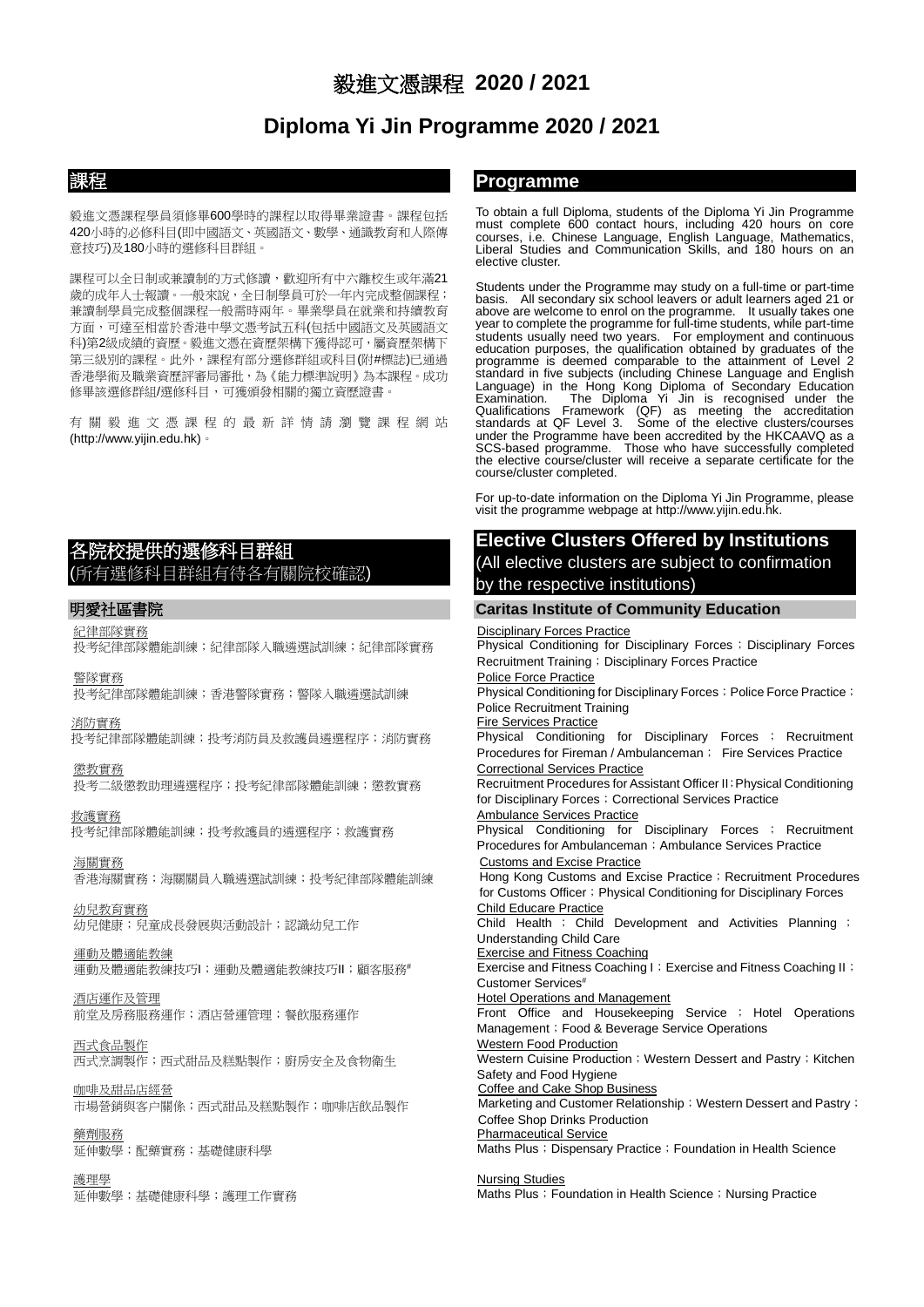# 毅進文憑課程 **2020 / 2021**

# **Diploma Yi Jin Programme 2020 / 2021**

毅進文憑課程學員須修畢600學時的課程以取得畢業證書。課程包括 420小時的必修科目(即中國語文、英國語文、數學、通識教育和人際傳 意技巧)及180小時的選修科目群組。

課程可以全日制或兼讀制的方式修讀,歡迎所有中六離校生或年滿21 歲的成年人士報讀。一般來說,全日制學員可於一年內完成整個課程; 兼讀制學員完成整個課程一般需時兩年。畢業學員在就業和持續教育 方面,可達至相當於香港中學文憑考試五科(包括中國語文及英國語文 科)第2級成績的資歷。毅進文憑在資歷架構下獲得認可,屬資歷架構下 第三級別的課程。此外,課程有部分選修群組或科目(附#標誌)已通過 香港學術及職業資歷評審局審批,為《能力標準說明》為本課程。成功 修畢該選修群組/選修科目,可獲頒發相關的獨立資歷證書。

有關毅進文憑課程的最新詳情請瀏覽 課程網站 (http://www.yijin.edu.hk)。

# 各院校提供的選修科目群組 (所有選修科目群組有待各有關院校確認)

### 紀律部隊實務

投考紀律部隊體能訓練;紀律部隊入職遴選試訓練;紀律部隊實務

## 警隊實務

投考紀律部隊體能訓練;香港警隊實務;警隊入職遴選試訓練

### 消防實務

投考紀律部隊體能訓練;投考消防員及救護員遴選程序;消防實務

## 懲教實務

投考二級懲教助理遴選程序;投考紀律部隊體能訓練;懲教實務

### 救護實務 投考紀律部隊體能訓練;投考救護員的遴選程序;救護實務

海關實務 香港海關實務;海關關員入職遴選試訓練;投考紀律部隊體能訓練

幼兒教育實務 幼兒健康;兒童成長發展與活動設計;認識幼兒工作

# 運動及體適能教練

運動及體適能教練技巧I;運動及體適能教練技巧II;顧客服務#

# 酒店運作及管理

前堂及房務服務運作;酒店營運管理;餐飲服務運作

# 西式食品製作

西式烹調製作;西式甜品及糕點製作;廚房安全及食物衛生

## 咖啡及甜品店經營

市場營銷與客户關係;西式甜品及糕點製作;咖啡店飲品製作

## 藥劑服務

延伸數學;配藥實務;基礎健康科學

## 護理學

延伸數學;基礎健康科學;護理工作實務

# 課程 **Programme**

To obtain a full Diploma, students of the Diploma Yi Jin Programme must complete 600 contact hours, including 420 hours on core courses, i.e. Chinese Language, English Language, Mathematics, Liberal Studies and Communication Skills, and 180 hours on an elective cluster.

Students under the Programme may study on a full-time or part-time basis. All secondary six school leavers or adult learners aged 21 or above are welcome to enrol on the programme. It usually takes one year to complete the programme for full-time students, while part-time students usually need two years. For employment and continuous education purposes, the qualification obtained by graduates of the programme is deemed comparable to the attainment of Level 2 standard in five subjects (including Chinese Language and English Language) in the Hong Kong Diploma of Secondary Education Examination. The Diploma Yi Jin is recognised under the Qualifications Framework (QF) as meeting the accreditation standards at QF Level 3. Some of the elective clusters/courses under the Programme have been accredited by the HKCAAVQ as a SCS-based programme. Those who have successfully completed the elective course/cluster will receive a separate certificate for the course/cluster completed.

For up-to-date information on the Diploma Yi Jin Programme, please visit the programme webpage at http://www.yijin.edu.hk.

# **Elective Clusters Offered by Institutions**

(All elective clusters are subject to confirmation by the respective institutions)

# 明愛社區書院 **Caritas Institute of Community Education**

### **Disciplinary Forces Practice**

**Physical Conditioning for Disciplinary Forces; Disciplinary Forces** Recruitment Training ; Disciplinary Forces Practice Police Force Practice Physical Conditioning for Disciplinary Forces; Police Force Practice; Police Recruitment Training Fire Services Practice Physical Conditioning for Disciplinary Forces ; Recruitment Procedures for Fireman / Ambulanceman; Fire Services Practice Correctional Services Practice Recruitment Procedures for Assistant Officer II;Physical Conditioning for Disciplinary Forces ; Correctional Services Practice Ambulance Services Practice Physical Conditioning for Disciplinary Forces ; Recruitment Procedures for Ambulanceman; Ambulance Services Practice Customs and Excise Practice Hong Kong Customs and Excise Practice; Recruitment Procedures for Customs Officer; Physical Conditioning for Disciplinary Forces Child Educare Practice Child Health ; Child Development and Activities Planning ; Understanding Child Care Exercise and Fitness Coaching Exercise and Fitness Coaching | ; Exercise and Fitness Coaching | | ; Customer Services# Hotel Operations and Management Front Office and Housekeeping Service ; Hotel Operations Management; Food & Beverage Service Operations Western Food Production Western Cuisine Production; Western Dessert and Pastry; Kitchen Safety and Food Hygiene Coffee and Cake Shop Business Marketing and Customer Relationship; Western Dessert and Pastry; Coffee Shop Drinks Production Pharmaceutical Service Maths Plus; Dispensary Practice; Foundation in Health Science Nursing Studies

Maths Plus; Foundation in Health Science; Nursing Practice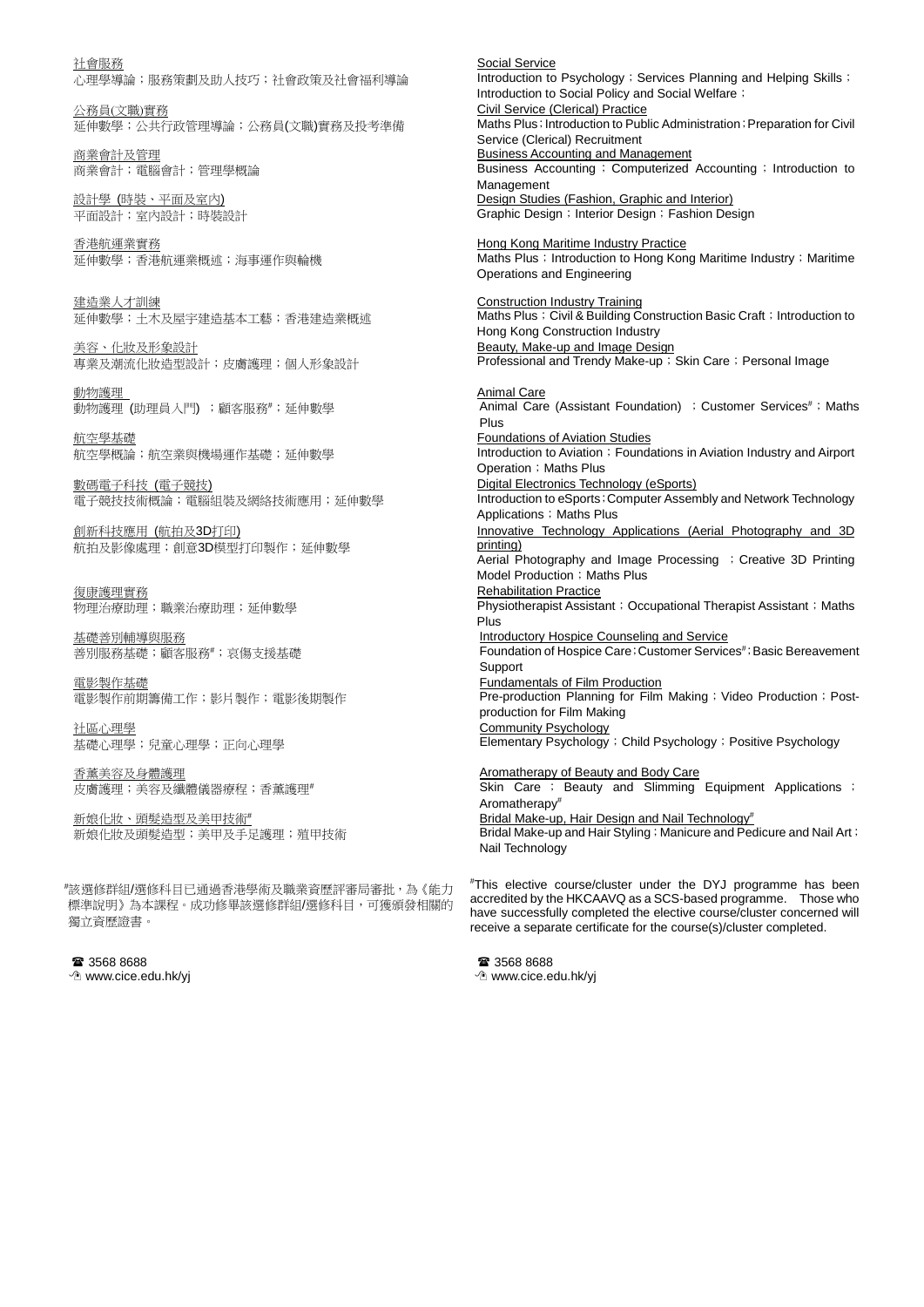社會服務 \_\_\_\_\_\_\_\_\_<br>心理學導論;服務策劃及助人技巧;社會政策及社會福利導論

公務員(文職)實務 延伸數學;公共行政管理導論;公務員(文職)實務及投考準備

商業會計及管理 商業會計;電腦會計;管理學概論

設計學 (時裝、平面及室內) 平面設計;室內設計;時裝設計

香港航運業實務 延伸數學;香港航運業概述;海事運作與輪機

建造業人才訓練 延伸數學;土木及屋宇建造基本工藝;香港建造業概述

美容、化妝及形象設計 專業及潮流化妝造型設計;皮膚護理;個人形象設計

動物護理 動物護理 (助理員入門) ;顧客服務#;延伸數學

航空學基礎 航空學概論;航空業與機場運作基礎;延伸數學

數碼電子科技 (電子競技) 電子競技技術概論;電腦組裝及網絡技術應用;延伸數學

創新科技應用 (航拍及3D打印) 航拍及影像處理;創意3D模型打印製作;延伸數學

復康護理實務 物理治療助理;職業治療助理;延伸數學

基礎善別輔導與服務 善別服務基礎;顧客服務#;哀傷支援基礎

電影製作基礎 電影製作前期籌備工作;影片製作;電影後期製作

社區心理學 基礎心理學;兒童心理學;正向心理學

香薰美容及身體護理 皮膚護理;美容及纖體儀器療程;香薰護理

新娘化妝、頭髮造型及美甲技術# 新娘化妝及頭髮造型;美甲及手足護理;殖甲技術

# 該選修群組/選修科目已通過香港學術及職業資歷評審局審批,為《能力 標準說明》為本課程。成功修畢該選修群組/選修科目,可獲頒發相關的 獨立資歷證書。

■ 3568 8688 www.cice.edu.hk/yj Social Service Introduction to Psychology; Services Planning and Helping Skills; Introduction to Social Policy and Social Welfare; Civil Service (Clerical) Practice Maths Plus; Introduction to Public Administration; Preparation for Civil Service (Clerical) Recruitment Business Accounting and Management Business Accounting; Computerized Accounting; Introduction to Management Design Studies (Fashion, Graphic and Interior) Graphic Design; Interior Design; Fashion Design

**Hong Kong Maritime Industry Practice** Maths Plus; Introduction to Hong Kong Maritime Industry; Maritime Operations and Engineering

Construction Industry Training Maths Plus; Civil & Building Construction Basic Craft; Introduction to Hong Kong Construction Industry Beauty, Make-up and Image Design Professional and Trendy Make-up; Skin Care; Personal Image

Animal Care Animal Care (Assistant Foundation) ; Customer Services<sup>#</sup>; Maths Plus Foundations of Aviation Studies Introduction to Aviation; Foundations in Aviation Industry and Airport Operation: Maths Plus Digital Electronics Technology (eSports) Introduction to eSports; Computer Assembly and Network Technology Applications; Maths Plus Innovative Technology Applications (Aerial Photography and 3D printing) Aerial Photography and Image Processing ; Creative 3D Printing Model Production; Maths Plus Rehabilitation Practice Physiotherapist Assistant; Occupational Therapist Assistant; Maths Plus **Introductory Hospice Counseling and Service** Foundation of Hospice Care; Customer Services<sup>#</sup>; Basic Bereavement Support Fundamentals of Film Production Pre-production Planning for Film Making; Video Production; Postproduction for Film Making Community Psychology Elementary Psychology ; Child Psychology ; Positive Psychology Aromatherapy of Beauty and Body Care Skin Care ; Beauty and Slimming Equipment Applications ; Aromatherapy#

Bridal Make-up, Hair Design and Nail Technology<sup>#</sup> Bridal Make-up and Hair Styling; Manicure and Pedicure and Nail Art; Nail Technology

# This elective course/cluster under the DYJ programme has been accredited by the HKCAAVQ as a SCS-based programme. Those who have successfully completed the elective course/cluster concerned will receive a separate certificate for the course(s)/cluster completed.

■ 3568 8688 www.cice.edu.hk/yj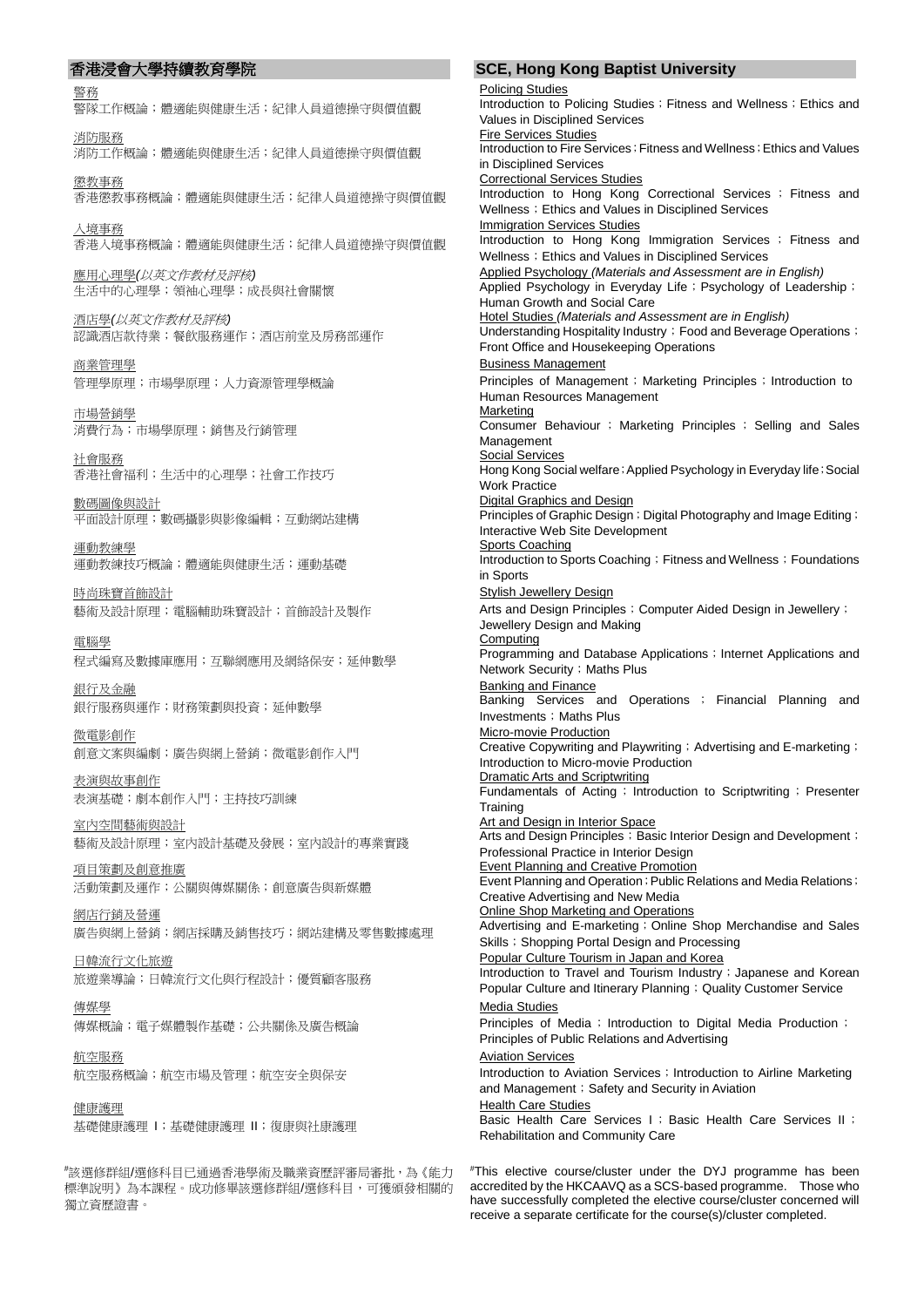警務 警隊工作概論;體適能與健康生活;紀律人員道德操守與價值觀 消防服務 消防工作概論;體適能與健康生活;紀律人員道德操守與價值觀 懲教事務 香港懲教事務概論;體適能與健康生活;紀律人員道德操守與價值觀 入境事務 香港入境事務概論;體適能與健康生活;紀律人員道德操守與價值觀 應用心理學*(*以英文作教材及評核*)* 生活中的心理學;領袖心理學;成長與社會關懷 酒店學*(*以英文作教材及評核*)* 認識酒店款待業;餐飲服務運作;酒店前堂及房務部運作 商業管理學 管理學原理;市場學原理;人力資源管理學概論 市場營銷學 消費行為;市場學原理;銷售及行銷管理 社會服務 香港社會福利;生活中的心理學;社會工作技巧 數碼圖像與設計 平面設計原理;數碼攝影與影像編輯;互動網站建構 運動教練學 運動教練技巧概論;體適能與健康生活;運動基礎 時尚珠寶首飾設計 藝術及設計原理;電腦輔助珠寶設計;首飾設計及製作 電腦學 程式編寫及數據庫應用;互聯網應用及網絡保安;延伸數學 銀行及金融 銀行服務與運作;財務策劃與投資;延伸數學 微電影創作 創意文案與編劇;廣告與網上營銷;微電影創作入門 表演與故事創作 表演基礎;劇本創作入門;主持技巧訓練 室內空間藝術與設計 藝術及設計原理;室內設計基礎及發展;室內設計的專業實踐 項目策劃及創意推廣 活動策劃及運作;公關與傳媒關係;創意廣告與新媒體 網店行銷及營運 廣告與網上營銷;網店採購及銷售技巧;網站建構及零售數據處理 日韓流行文化旅遊 旅遊業導論;日韓流行文化與行程設計;優質顧客服務 傳媒學 傳媒概論;電子媒體製作基礎;公共關係及廣告概論 航空服務 航空服務概論;航空市場及管理;航空安全與保安 健康護理

基礎健康護理 I;基礎健康護理 II;復康與社康護理

# 該選修群組/選修科目已通過香港學術及職業資歷評審局審批,為《能力 標準說明》為本課程。成功修畢該選修群組/選修科目,可獲頒發相關的 獨立資歷證書。

# 香港浸會大學持續教育學院 **SCE, Hong Kong Baptist University**

Policing Studies Introduction to Policing Studies; Fitness and Wellness; Ethics and Values in Disciplined Services Fire Services Studies Introduction to Fire Services; Fitness and Wellness; Ethics and Values in Disciplined Services Correctional Services Studies Introduction to Hong Kong Correctional Services ; Fitness and Wellness; Ethics and Values in Disciplined Services **Immigration Services Studies** Introduction to Hong Kong Immigration Services ; Fitness and Wellness; Ethics and Values in Disciplined Services Applied Psychology *(Materials and Assessment are in English)* Applied Psychology in Everyday Life; Psychology of Leadership; Human Growth and Social Care Hotel Studies *(Materials and Assessment are in English)* Understanding Hospitality Industry; Food and Beverage Operations; Front Office and Housekeeping Operations Business Management Principles of Management; Marketing Principles; Introduction to Human Resources Management **Marketing** Consumer Behaviour ; Marketing Principles ; Selling and Sales Management Social Services Hong Kong Social welfare; Applied Psychology in Everyday life; Social Work Practice Digital Graphics and Design Principles of Graphic Design; Digital Photography and Image Editing; Interactive Web Site Development Sports Coaching Introduction to Sports Coaching; Fitness and Wellness; Foundations in Sports Stylish Jewellery Design Arts and Design Principles; Computer Aided Design in Jewellery; Jewellery Design and Making **Computing Programming and Database Applications**; Internet Applications and Network Security; Maths Plus **Banking and Finance** Banking Services and Operations ; Financial Planning and Investments; Maths Plus Micro-movie Production Creative Copywriting and Playwriting; Advertising and E-marketing; Introduction to Micro-movie Production Dramatic Arts and Scriptwriting Fundamentals of Acting; Introduction to Scriptwriting; Presenter **Training Art and Design in Interior Space** Arts and Design Principles; Basic Interior Design and Development; Professional Practice in Interior Design Event Planning and Creative Promotion Event Planning and Operation; Public Relations and Media Relations; Creative Advertising and New Media Online Shop Marketing and Operations Advertising and E-marketing; Online Shop Merchandise and Sales Skills; Shopping Portal Design and Processing Popular Culture Tourism in Japan and Korea Introduction to Travel and Tourism Industry; Japanese and Korean Popular Culture and Itinerary Planning; Quality Customer Service Media Studies Principles of Media; Introduction to Digital Media Production; Principles of Public Relations and Advertising Aviation Services Introduction to Aviation Services ; Introduction to Airline Marketing and Management; Safety and Security in Aviation **Health Care Studies** Basic Health Care Services I; Basic Health Care Services II; Rehabilitation and Community Care

# This elective course/cluster under the DYJ programme has been accredited by the HKCAAVQ as a SCS-based programme. Those who have successfully completed the elective course/cluster concerned will receive a separate certificate for the course(s)/cluster completed.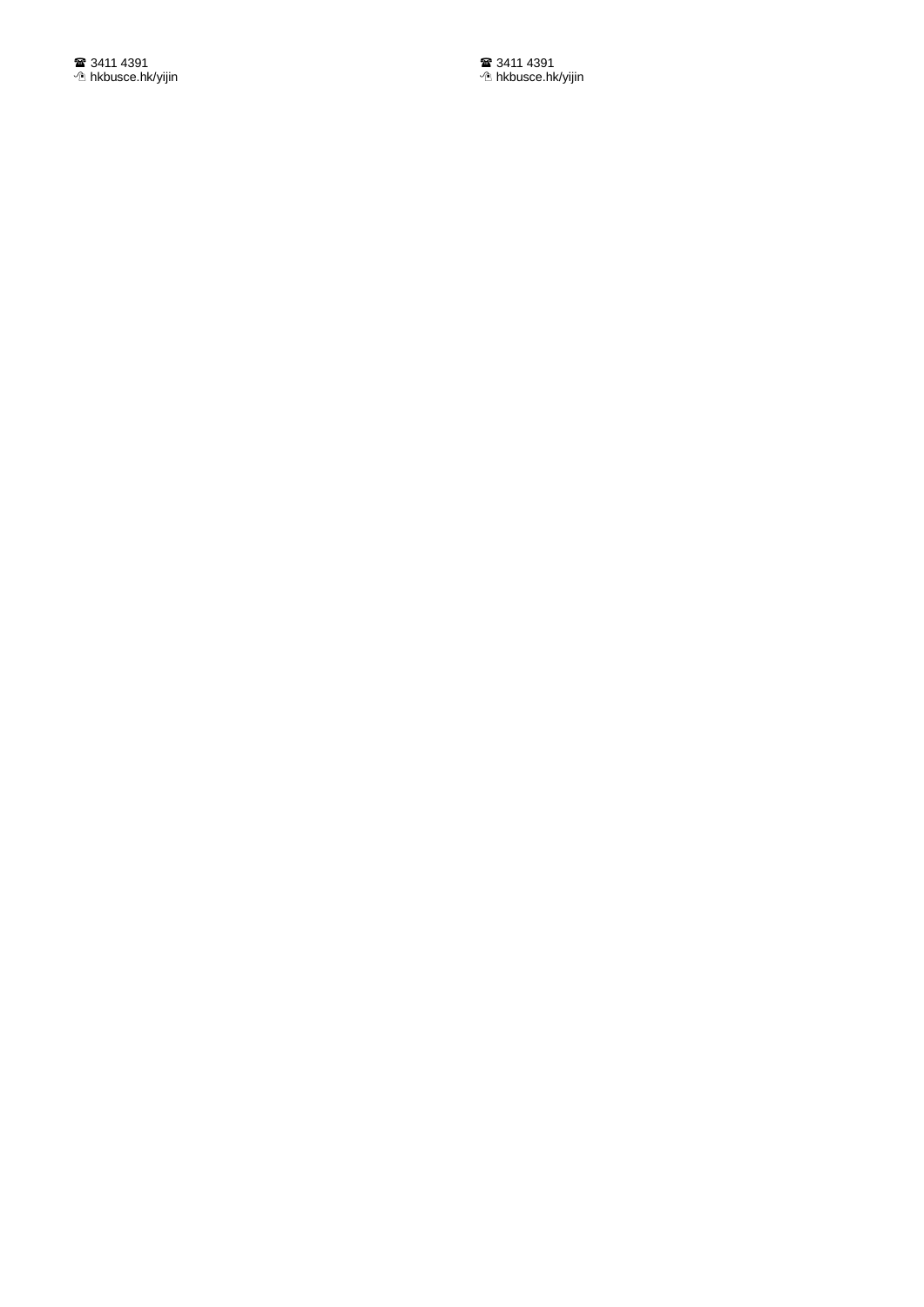■ 3411 4391 hkbusce.hk/yijin ■ 3411 4391 hkbusce.hk/yijin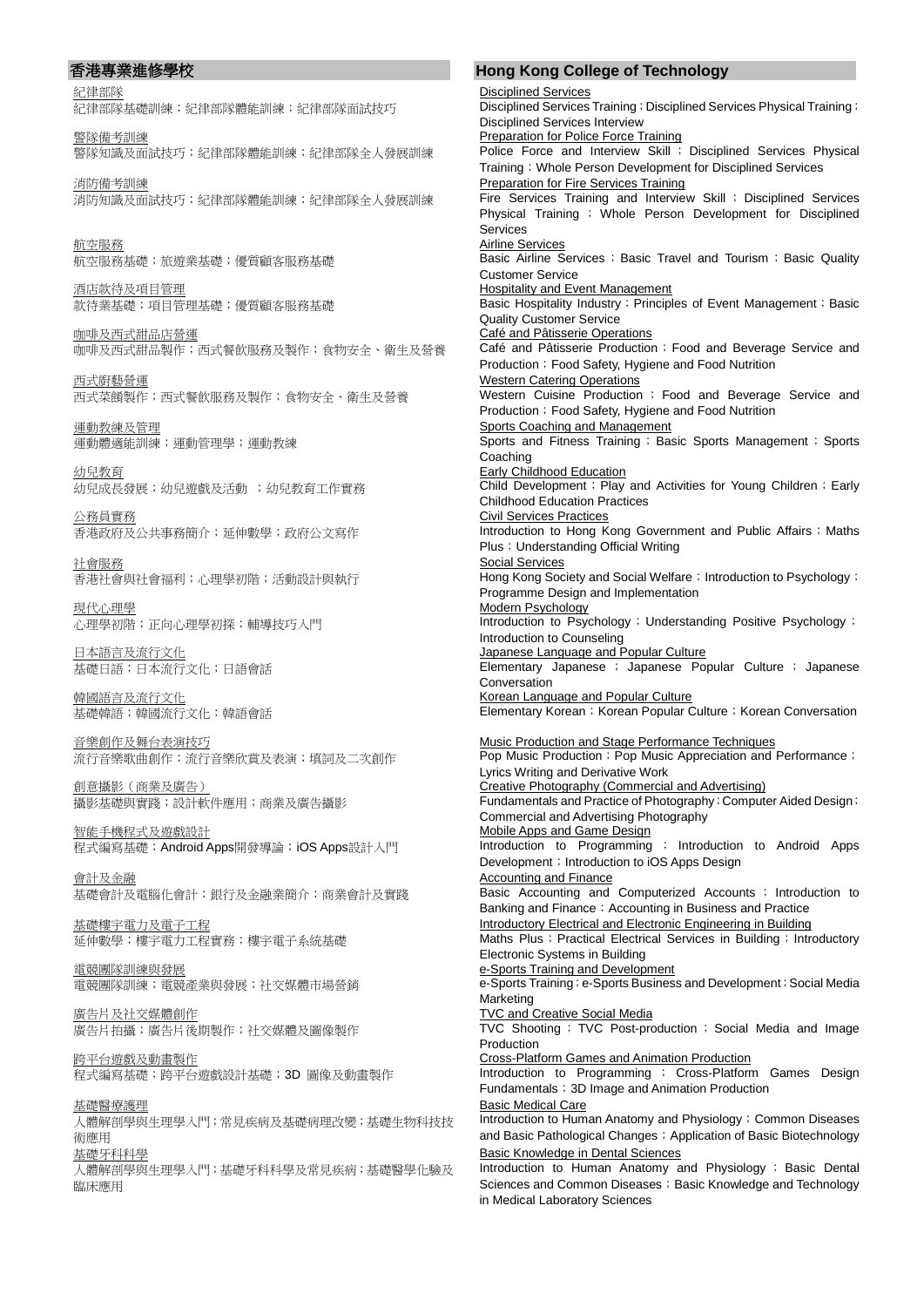紀律部隊

紀律部隊基礎訓練;紀律部隊體能訓練;紀律部隊面試技巧

警隊備考訓練 警隊知識及面試技巧;紀律部隊體能訓練;紀律部隊全人發展訓練

消防備考訓練 消防知識及面試技巧;紀律部隊體能訓練;紀律部隊全人發展訓練

航空服務 航空服務基礎;旅遊業基礎;優質顧客服務基礎

酒店款待及項目管理 款待業基礎;項目管理基礎;優質顧客服務基礎

咖啡及西式甜品店營運 咖啡及西式甜品製作;西式餐飮服務及製作;食物安全、衛生及營養

西式廚藝營運 西式菜餚製作;西式餐飮服務及製作;食物安全、衛生及營養

運動教練及管理 運動體適能訓練;運動管理學;運動教練

幼兒教育 幼兒成長發展;幼兒遊戲及活動 ;幼兒教育工作實務

公務員實務 香港政府及公共事務簡介;延伸數學;政府公文寫作

社會服務 香港社會與社會福利;心理學初階;活動設計與執行

現代心理學 心理學初階;正向心理學初探;輔導技巧入門

日本語言及流行文化 基礎日語;日本流行文化;日語會話

韓國語言及流行文化 基礎韓語;韓國流行文化;韓語會話

音樂創作及舞台表演技巧 流行音樂歌曲創作;流行音樂欣賞及表演;填詞及二次創作

創意攝影(商業及廣告) 攝影基礎與實踐;設計軟件應用;商業及廣告攝影

智能手機程式及遊戲設計 程式編寫基礎;Android Apps開發導論;iOS Apps設計入門

會計及金融 基礎會計及電腦化會計;銀行及金融業簡介;商業會計及實踐

基礎樓宇電力及電子工程 延伸數學;樓宇電力工程實務;樓宇電子系統基礎

電競團隊訓練與發展 電競團隊訓練;電競產業與發展;社交媒體市場營銷

廣告片及社交媒體創作 廣告片拍攝;廣告片後期製作;社交媒體及圖像製作

跨平台遊戲及動畫製作 程式編寫基礎;跨平台遊戲設計基礎;3D 圖像及動畫製作

基礎醫療護理 人體解剖學與生理學入門;常見疾病及基礎病理改變;基礎生物科技技 術應用 基礎牙科科學

人體解剖學與生理學入門;基礎牙科科學及常見疾病;基礎醫學化驗及 臨床應用

# 香港專業進修學校 **Hong Kong College of Technology**

Disciplined Services Disciplined Services Training; Disciplined Services Physical Training; Disciplined Services Interview **Preparation for Police Force Training** Police Force and Interview Skill ; Disciplined Services Physical Training; Whole Person Development for Disciplined Services Preparation for Fire Services Training Fire Services Training and Interview Skill ; Disciplined Services Physical Training ; Whole Person Development for Disciplined Services Airline Services Basic Airline Services; Basic Travel and Tourism; Basic Quality Customer Service **Hospitality and Event Management** Basic Hospitality Industry; Principles of Event Management; Basic Quality Customer Service Café and Pâtisserie Operations Café and Pâtisserie Production ; Food and Beverage Service and Production; Food Safety, Hygiene and Food Nutrition Western Catering Operations Western Cuisine Production ; Food and Beverage Service and Production; Food Safety, Hygiene and Food Nutrition Sports Coaching and Management Sports and Fitness Training; Basic Sports Management; Sports Coaching Early Childhood Education **Child Development; Play and Activities for Young Children; Early** Childhood Education Practices Civil Services Practices Introduction to Hong Kong Government and Public Affairs ; Maths Plus; Understanding Official Writing Social Services Hong Kong Society and Social Welfare; Introduction to Psychology; Programme Design and Implementation Modern Psychology Introduction to Psychology; Understanding Positive Psychology; Introduction to Counseling Japanese Language and Popular Culture Elementary Japanese ; Japanese Popular Culture ; Japanese Conversation Korean Language and Popular Culture Elementary Korean; Korean Popular Culture; Korean Conversation Music Production and Stage Performance Techniques Pop Music Production; Pop Music Appreciation and Performance; Lyrics Writing and Derivative Work Creative Photography (Commercial and Advertising) Fundamentals and Practice of Photography; Computer Aided Design; Commercial and Advertising Photography **Mobile Apps and Game Design<br>Introduction to Programming** ; Introduction to Android Apps Development; Introduction to iOS Apps Design Accounting and Finance Basic Accounting and Computerized Accounts ; Introduction to Banking and Finance; Accounting in Business and Practice Introductory Electrical and Electronic Engineering in Building Maths Plus; Practical Electrical Services in Building; Introductory Electronic Systems in Building e-Sports Training and Development e-Sports Training; e-Sports Business and Development; Social Media Marketing TVC and Creative Social Media TVC Shooting ; TVC Post-production ; Social Media and Image Production Cross-Platform Games and Animation Production Introduction to Programming ; Cross-Platform Games Design Fundamentals;3D Image and Animation Production **Basic Medical Care** Introduction to Human Anatomy and Physiology; Common Diseases and Basic Pathological Changes; Application of Basic Biotechnology Basic Knowledge in Dental Sciences Introduction to Human Anatomy and Physiology ; Basic Dental Sciences and Common Diseases; Basic Knowledge and Technology

in Medical Laboratory Sciences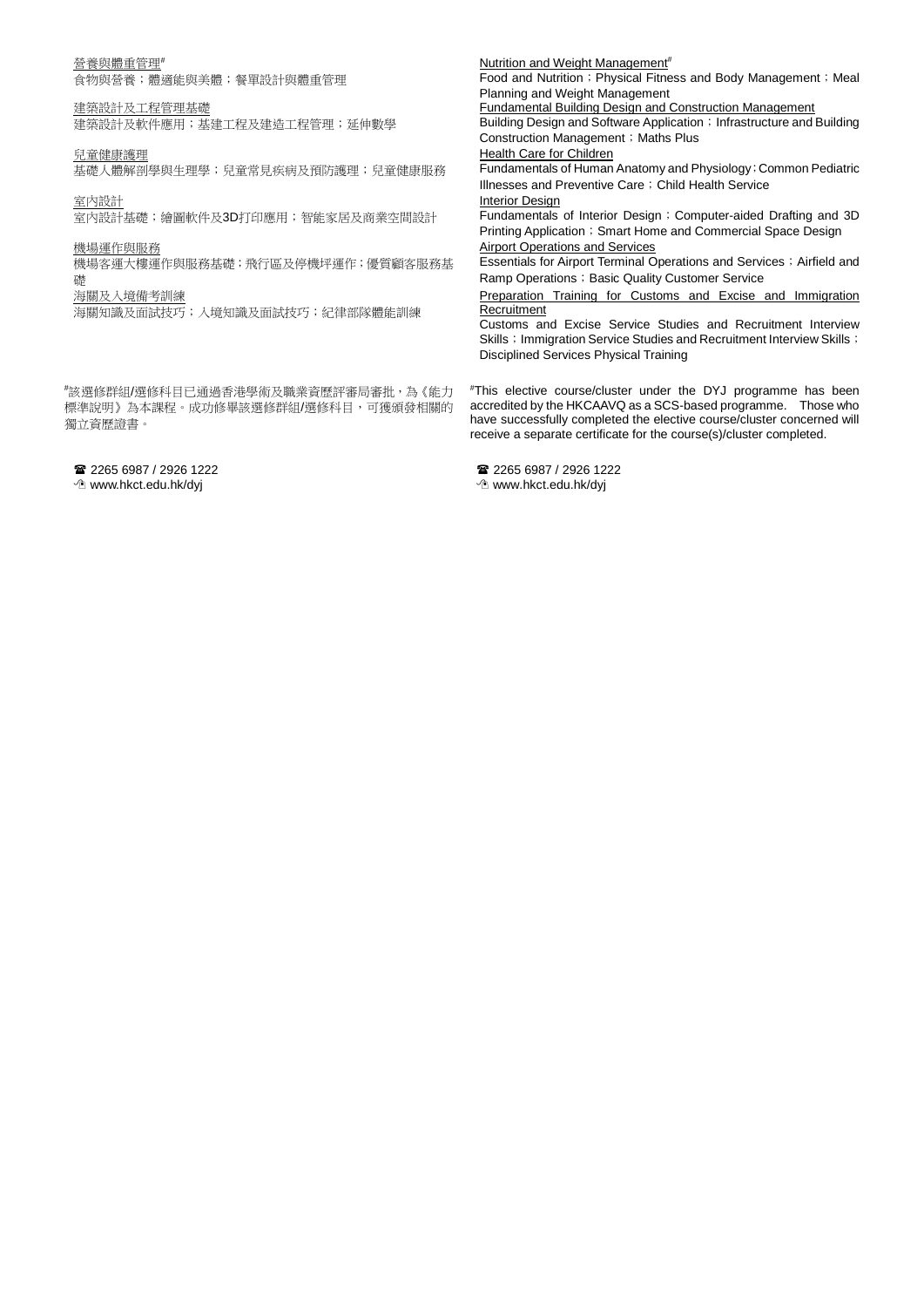### 營養與體重管理#

食物與營養;體適能與美體;餐單設計與體重管理

### 建築設計及工程管理基礎

建築設計及軟件應用;基建工程及建造工程管理;延伸數學

兒童健康護理

基礎人體解剖學與生理學;兒童常見疾病及預防護理;兒童健康服務

室內設計

室内設計基礎;繪圖軟件及3D打印應用;智能家居及商業空間設計

## 機場運作與服務

機場客運大樓運作與服務基礎;飛行區及停機坪運作;優質顧客服務基 礎

## 海關及入境備考訓練

海關知識及面試技巧;入境知識及面試技巧;紀律部隊體能訓練

# 該選修群組/選修科目已通過香港學術及職業資歷評審局審批,為《能力 標準說明》為本課程。成功修畢該選修群組/選修科目,可獲頒發相關的 獨立資歷證書。

 2265 6987 / 2926 1222 www.hkct.edu.hk/dyj

Nutrition and Weight Management<sup>#</sup> Food and Nutrition; Physical Fitness and Body Management; Meal Planning and Weight Management Fundamental Building Design and Construction Management Building Design and Software Application; Infrastructure and Building Construction Management; Maths Plus **Health Care for Children** Fundamentals of Human Anatomy and Physiology;Common Pediatric Illnesses and Preventive Care; Child Health Service Interior Design Fundamentals of Interior Design; Computer-aided Drafting and 3D Printing Application; Smart Home and Commercial Space Design Airport Operations and Services Essentials for Airport Terminal Operations and Services; Airfield and

Ramp Operations; Basic Quality Customer Service Preparation Training for Customs and Excise and Immigration Recruitment

Customs and Excise Service Studies and Recruitment Interview Skills; Immigration Service Studies and Recruitment Interview Skills; Disciplined Services Physical Training

# This elective course/cluster under the DYJ programme has been accredited by the HKCAAVQ as a SCS-based programme. Those who have successfully completed the elective course/cluster concerned will receive a separate certificate for the course(s)/cluster completed.

 2265 6987 / 2926 1222 www.hkct.edu.hk/dyj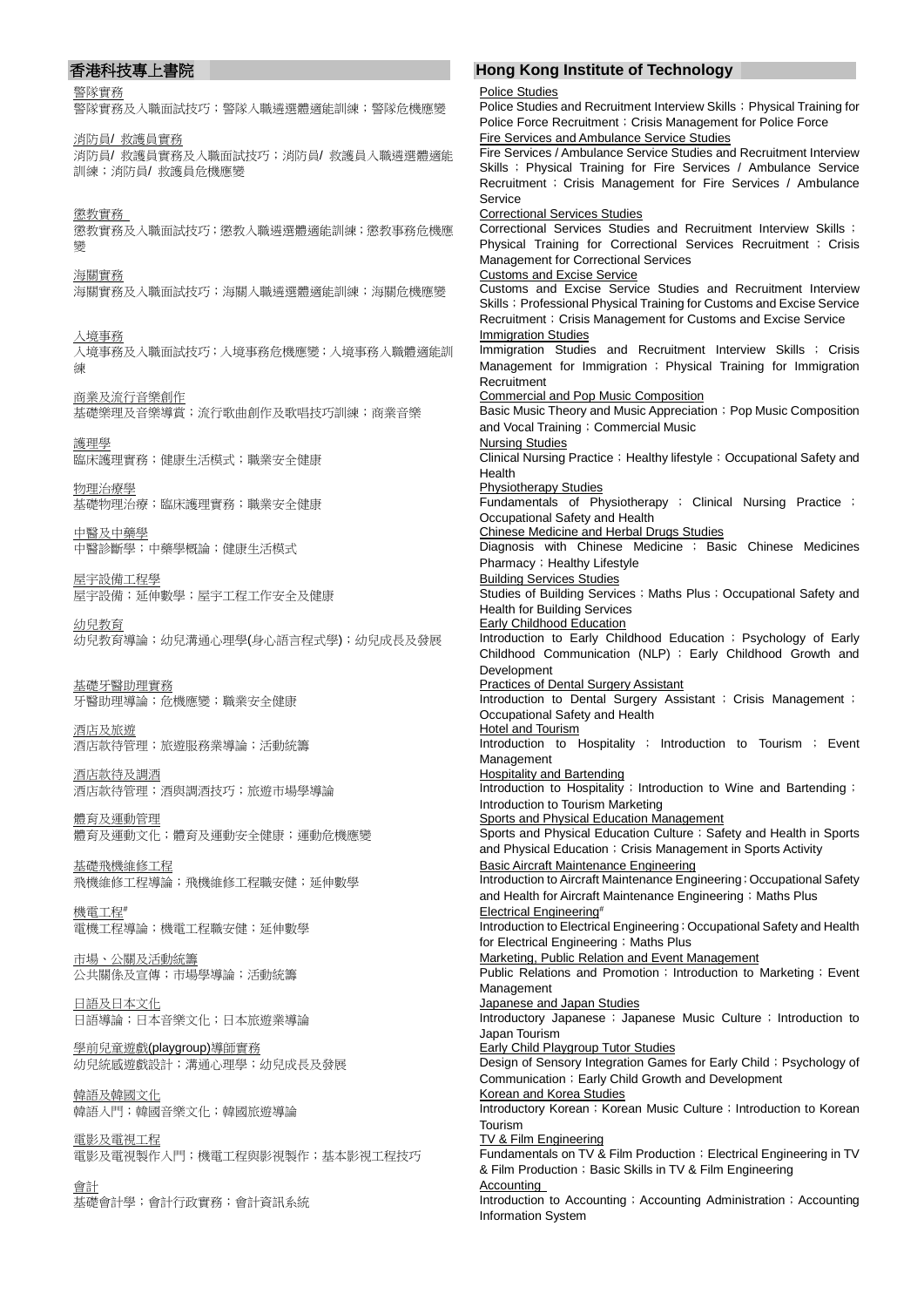### 警隊實務

警隊實務及入職面試技巧;警隊入職遴選體適能訓練;警隊危機應變

消防員/ 救護員實務 消防員/ 救護員實務及入職面試技巧;消防員/ 救護員入職遴選體適能 訓練;消防員/ 救護員危機應變

懲教實務 懲教實務及入職面試技巧;懲教入職遴選體適能訓練;懲教事務危機應 變

海關實務 海關實務及入職面試技巧;海關入職遴選體適能訓練;海關危機應變

入境事務 入境事務及入職面試技巧;入境事務危機應變;入境事務入職體適能訓 練

商業及流行音樂創作 基礎樂理及音樂導賞;流行歌曲創作及歌唱技巧訓練;商業音樂

護理學 臨床護理實務;健康生活模式;職業安全健康

物理治療學 基礎物理治療;臨床護理實務;職業安全健康

中醫及中藥學 中醫診斷學;中藥學概論;健康生活模式

屋宇設備工程學 屋宇設備;延伸數學;屋宇工程工作安全及健康

幼兒教育 幼兒教育導論;幼兒溝通心理學(身心語言程式學);幼兒成長及發展

基礎牙醫助理實務 牙醫助理導論;危機應變;職業安全健康

酒店及旅遊 酒店款待管理;旅遊服務業導論;活動統籌

酒店款待及調酒 酒店款待管理;酒與調酒技巧;旅遊市場學導論

體育及運動管理 體育及運動文化;體育及運動安全健康;運動危機應變

基礎飛機維修工程 飛機維修工程導論;飛機維修工程職安健;延伸數學

機電工程# 電機工程導論;機電工程職安健;延伸數學

市場、公關及活動統籌 公共關係及宣傳;市場學導論;活動統籌

日語及日本文化 日語導論;日本音樂文化;日本旅遊業導論

學前兒童遊戲(playgroup)導師實務 幼兒統感遊戲設計;溝通心理學;幼兒成長及發展

韓語及韓國文化 韓語入門;韓國音樂文化;韓國旅遊導論

電影及電視工程 電影及電視製作入門;機電工程與影視製作;基本影視工程技巧

會計 基礎會計學;會計行政實務;會計資訊系統

# 香港科技專上書院 **Hong Kong Institute of Technology**

Police Studies Police Studies and Recruitment Interview Skills; Physical Training for

Police Force Recruitment; Crisis Management for Police Force Fire Services and Ambulance Service Studies Fire Services / Ambulance Service Studies and Recruitment Interview Skills ; Physical Training for Fire Services / Ambulance Service Recruitment ; Crisis Management for Fire Services / Ambulance Service Correctional Services Studies Correctional Services Studies and Recruitment Interview Skills ; Physical Training for Correctional Services Recruitment ; Crisis Management for Correctional Services Customs and Excise Service Customs and Excise Service Studies and Recruitment Interview Skills; Professional Physical Training for Customs and Excise Service Recruitment: Crisis Management for Customs and Excise Service Immigration Studies Immigration Studies and Recruitment Interview Skills ; Crisis Management for Immigration ; Physical Training for Immigration Recruitment Commercial and Pop Music Composition Basic Music Theory and Music Appreciation; Pop Music Composition and Vocal Training; Commercial Music Nursing Studies Clinical Nursing Practice; Healthy lifestyle; Occupational Safety and Health Physiotherapy Studies Fundamentals of Physiotherapy ; Clinical Nursing Practice ; Occupational Safety and Health Chinese Medicine and Herbal Drugs Studies Diagnosis with Chinese Medicine ; Basic Chinese Medicines Pharmacy; Healthy Lifestyle Building Services Studies Studies of Building Services; Maths Plus; Occupational Safety and Health for Building Services Early Childhood Education Introduction to Early Childhood Education ; Psychology of Early Childhood Communication (NLP) ; Early Childhood Growth and Development Practices of Dental Surgery Assistant Introduction to Dental Surgery Assistant ; Crisis Management ; Occupational Safety and Health Hotel and Tourism Introduction to Hospitality ; Introduction to Tourism ; Event Management **Hospitality and Bartending** Introduction to Hospitality; Introduction to Wine and Bartending; Introduction to Tourism Marketing Sports and Physical Education Management Sports and Physical Education Culture; Safety and Health in Sports and Physical Education; Crisis Management in Sports Activity Basic Aircraft Maintenance Engineering Introduction to Aircraft Maintenance Engineering;Occupational Safety and Health for Aircraft Maintenance Engineering; Maths Plus Electrical Engineering# Introduction to Electrical Engineering; Occupational Safety and Health for Electrical Engineering; Maths Plus Marketing, Public Relation and Event Management Public Relations and Promotion; Introduction to Marketing; Event Management Japanese and Japan Studies Introductory Japanese; Japanese Music Culture; Introduction to Japan Tourism Early Child Playgroup Tutor Studies Design of Sensory Integration Games for Early Child; Psychology of Communication; Early Child Growth and Development Korean and Korea Studies Introductory Korean; Korean Music Culture; Introduction to Korean Tourism TV & Film Engineering Fundamentals on TV & Film Production; Electrical Engineering in TV & Film Production; Basic Skills in TV & Film Engineering Accounting Introduction to Accounting; Accounting Administration; Accounting Information System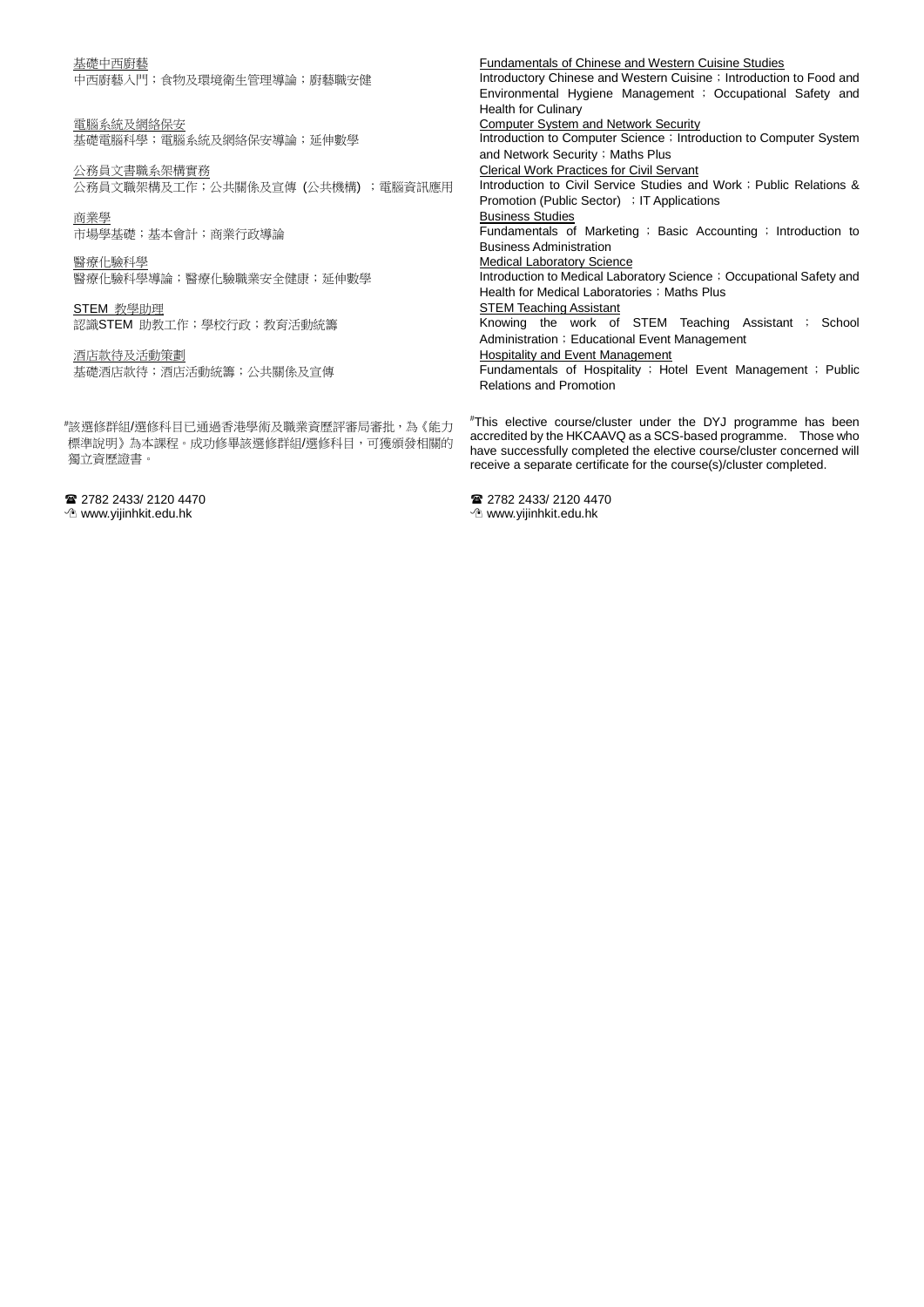### 基礎中西廚藝

中西廚藝入門;食物及環境衛生管理導論;廚藝職安健

電腦系統及網絡保安 基礎電腦科學;電腦系統及網絡保安導論;延伸數學

公務員文書職系架構實務 公務員文職架構及工作;公共關係及宣傳 (公共機構) ;電腦資訊應用

商業學 市場學基礎;基本會計;商業行政導論

醫療化驗科學 醫療化驗科學導論;醫療化驗職業安全健康;延伸數學

STEM 教學助理 認識STEM 助教工作;學校行政;教育活動統籌

酒店款待及活動策劃 基礎酒店款待;酒店活動統籌;公共關係及宣傳

# 該選修群組/選修科目已通過香港學術及職業資歷評審局審批,為《能力 標準說明》為本課程。成功修畢該選修群組/選修科目,可獲頒發相關的 獨立資歷證書。

222 2433/ 2120 4470

www.yijinhkit.edu.hk

Fundamentals of Chinese and Western Cuisine Studies Introductory Chinese and Western Cuisine; Introduction to Food and Environmental Hygiene Management ; Occupational Safety and Health for Culinary Computer System and Network Security Introduction to Computer Science ; Introduction to Computer System and Network Security; Maths Plus Clerical Work Practices for Civil Servant Introduction to Civil Service Studies and Work ; Public Relations & Promotion (Public Sector) ; IT Applications Business Studies Fundamentals of Marketing ; Basic Accounting ; Introduction to Business Administration Medical Laboratory Science Introduction to Medical Laboratory Science ; Occupational Safety and Health for Medical Laboratories; Maths Plus **STEM Teaching Assistant** Knowing the work of STEM Teaching Assistant ; School Administration; Educational Event Management **Hospitality and Event Management** Fundamentals of Hospitality ; Hotel Event Management ; Public Relations and Promotion

# This elective course/cluster under the DYJ programme has been accredited by the HKCAAVQ as a SCS-based programme. Those who have successfully completed the elective course/cluster concerned will receive a separate certificate for the course(s)/cluster completed.

22 2782 2433/ 2120 4470 www.yijinhkit.edu.hk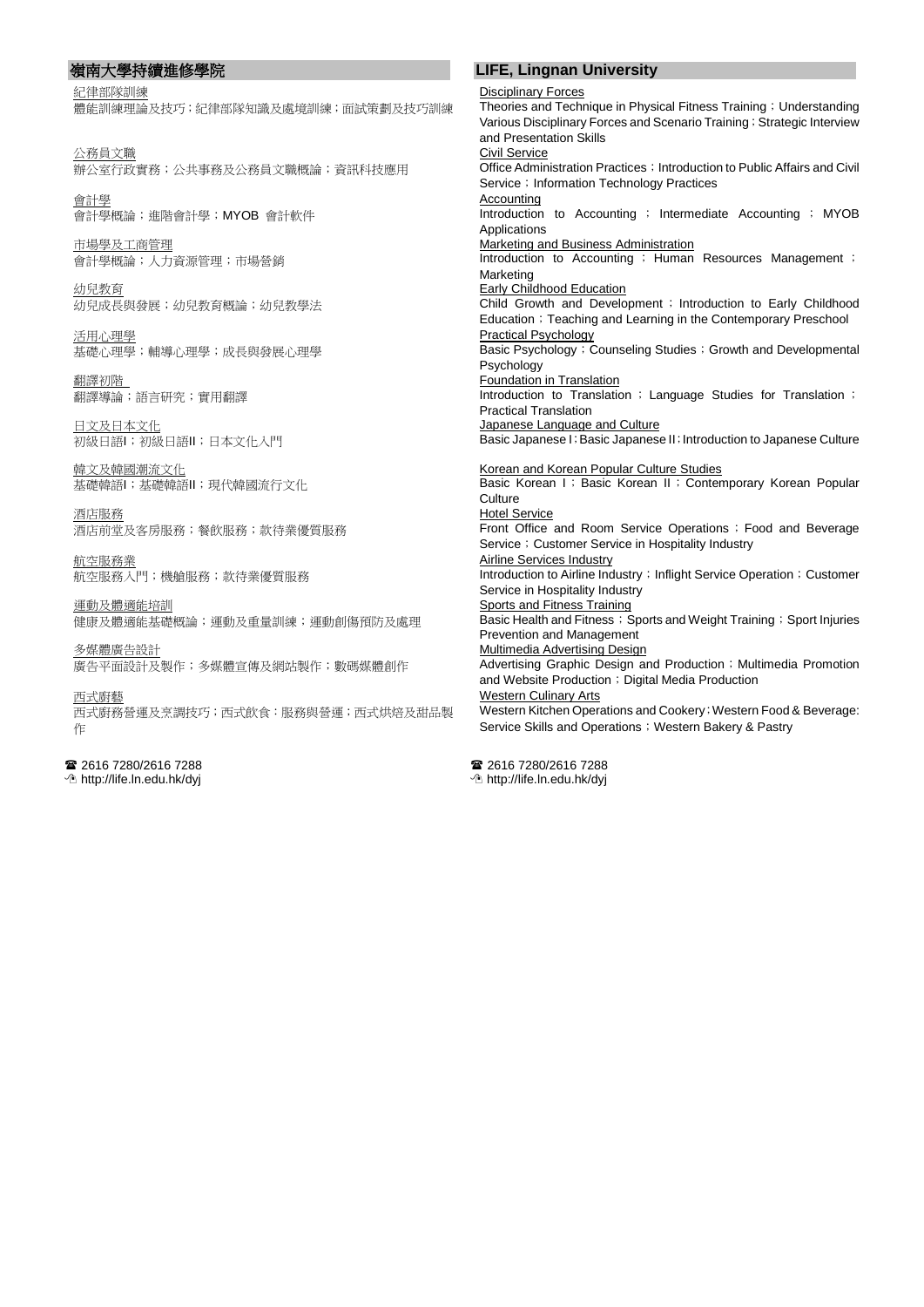紀律部隊訓練

## 體能訓練理論及技巧;紀律部隊知識及處境訓練;面試策劃及技巧訓練

公務員文職 辦公室行政實務;公共事務及公務員文職概論;資訊科技應用

會計學 會計學概論;進階會計學;MYOB 會計軟件

市場學及工商管理 會計學概論;人力資源管理;市場營銷

幼兒教育 幼兒成長與發展;幼兒教育概論;幼兒教學法

活用心理學 基礎心理學;輔導心理學;成長與發展心理學

翻譯初階 翻譯導論;語言研究;實用翻譯

日文及日本文化 初級日語I;初級日語II;日本文化入門

韓文及韓國潮流文化 基礎韓語I;基礎韓語II;現代韓國流行文化

酒店服務 酒店前堂及客房服務;餐飲服務;款待業優質服務

航空服務業 航空服務入門;機艙服務;款待業優質服務

運動及體適能培訓 健康及體適能基礎概論;運動及重量訓練;運動創傷預防及處理

多媒體廣告設計 廣告平面設計及製作;多媒體宣傳及網站製作;數碼媒體創作

西式廚藝 西式廚務營運及烹調技巧;西式飲食:服務與營運;西式烘焙及甜品製 作

 2616 7280/2616 7288 http://life.ln.edu.hk/dyj

# 嶺南大學持續進修學院 **LIFE, Lingnan University**

Disciplinary Forces

Theories and Technique in Physical Fitness Training;Understanding Various Disciplinary Forces and Scenario Training; Strategic Interview and Presentation Skills Civil Service Office Administration Practices; Introduction to Public Affairs and Civil Service; Information Technology Practices **Accounting** Introduction to Accounting ; Intermediate Accounting ; MYOB Applications Marketing and Business Administration Introduction to Accounting ; Human Resources Management ; Marketing **Early Childhood Education Child Growth and Development**; Introduction to Early Childhood Education; Teaching and Learning in the Contemporary Preschool Practical Psychology Basic Psychology; Counseling Studies; Growth and Developmental Psychology Foundation in Translation Introduction to Translation ; Language Studies for Translation ; Practical Translation **Japanese Language and Culture** Basic Japanese I;Basic Japanese II;Introduction to Japanese Culture Korean and Korean Popular Culture Studies Basic Korean I ; Basic Korean II ; Contemporary Korean Popular **Culture** Hotel Service Front Office and Room Service Operations;Food and Beverage Service ; Customer Service in Hospitality Industry Airline Services Industry Introduction to Airline Industry; Inflight Service Operation; Customer Service in Hospitality Industry Sports and Fitness Training Basic Health and Fitness; Sports and Weight Training; Sport Injuries Prevention and Management Multimedia Advertising Design Advertising Graphic Design and Production ; Multimedia Promotion and Website Production; Digital Media Production **Western Culinary Arts** Western Kitchen Operations and Cookery; Western Food & Beverage: Service Skills and Operations; Western Bakery & Pastry

2616 7280/2616 7288 http://life.ln.edu.hk/dyj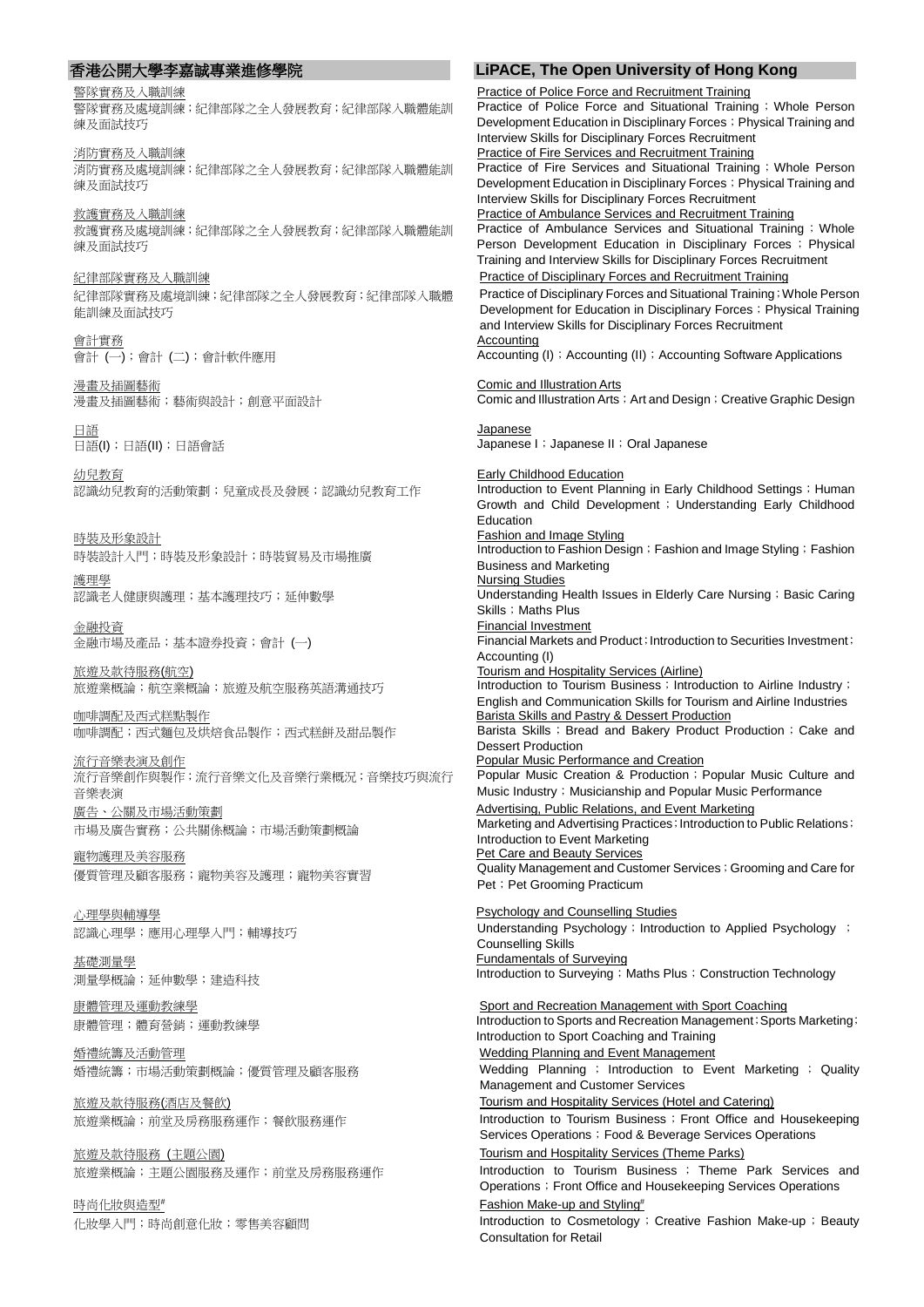警隊實務及入職訓練

警隊實務及處境訓練;紀律部隊之全人發展教育;紀律部隊入職體能訓 練及面試技巧

消防實務及入職訓練 消防實務及處境訓練;紀律部隊之全人發展教育;紀律部隊入職體能訓 練及面試技巧

救護實務及入職訓練 救護實務及處境訓練;紀律部隊之全人發展教育;紀律部隊入職體能訓 練及面試技巧

紀律部隊實務及入職訓練 紀律部隊實務及處境訓練;紀律部隊之全人發展教育;紀律部隊入職體 能訓練及面試技巧

會計實務 會計 (一);會計 (二);會計軟件應用

漫畫及插圖藝術 漫畫及插圖藝術;藝術與設計;創意平面設計

日語 日語(I);日語(II);日語會話

幼兒教育 認識幼兒教育的活動策劃;兒童成長及發展;認識幼兒教育工作

時裝及形象設計 時裝設計入門;時裝及形象設計;時裝貿易及市場推廣

護理學 認識老人健康與護理;基本護理技巧;延伸數學

金融投資 金融市場及產品;基本證券投資;會計 (一)

旅遊及款待服務(航空) 旅遊業概論;旅遊及航空服務英語溝通技巧

咖啡調配及西式糕點製作 咖啡調配;西式麵包及烘焙食品製作;西式糕餅及甜品製作

流行音樂表演及創作 流行音樂創作與製作;流行音樂文化及音樂行業概況;音樂技巧與流行 音樂表演 廣告、公關及市場活動策劃

市場及廣告實務;公共關係概論;市場活動策劃概論

寵物護理及美容服務 優質管理及顧客服務;寵物美容及護理;寵物美容實習

心理學與輔導學 認識心理學;應用心理學入門;輔導技巧

基礎測量學 測量學概論;延伸數學;建造科技

康體管理及運動教練學 康體管理;體育營銷;運動教練學

婚禮統籌及活動管理 婚禮統籌;市場活動策劃概論;優質管理及顧客服務

旅遊及款待服務(酒店及餐飲) 旅遊業概論;前堂及房務服務運作;餐飲服務運作

旅遊及款待服務 (主題公園) 旅遊業概論;主題公園服務及運作;前堂及房務服務運作

時尚化妝與造型# 化妝學入門;時尚創意化妝;零售美容顧問

# 香港公開大學李嘉誠專業進修學院 **LiPACE, The Open University of Hong Kong**

Practice of Police Force and Recruitment Training

Practice of Police Force and Situational Training; Whole Person Development Education in Disciplinary Forces; Physical Training and Interview Skills for Disciplinary Forces Recruitment Practice of Fire Services and Recruitment Training Practice of Fire Services and Situational Training ; Whole Person Development Education in Disciplinary Forces; Physical Training and Interview Skills for Disciplinary Forces Recruitment Practice of Ambulance Services and Recruitment Training Practice of Ambulance Services and Situational Training; Whole Person Development Education in Disciplinary Forces ; Physical Training and Interview Skills for Disciplinary Forces Recruitment Practice of Disciplinary Forces and Recruitment Training Practice of Disciplinary Forces and Situational Training;Whole Person Development for Education in Disciplinary Forces; Physical Training and Interview Skills for Disciplinary Forces Recruitment Accounting Accounting (I) ; Accounting (II) ; Accounting Software Applications Comic and Illustration Arts Comic and Illustration Arts ; Art and Design; Creative Graphic Design Japanese Japanese I ; Japanese II ; Oral Japanese Early Childhood Education Introduction to Event Planning in Early Childhood Settings ; Human Growth and Child Development; Understanding Early Childhood Education Fashion and Image Styling Introduction to Fashion Design; Fashion and Image Styling; Fashion Business and Marketing Nursing Studies Understanding Health Issues in Elderly Care Nursing; Basic Caring Skills; Maths Plus Financial Investment Financial Markets and Product;Introduction to Securities Investment; Accounting (I) Tourism and Hospitality Services (Airline) Introduction to Tourism Business; Introduction to Airline Industry; English and Communication Skills for Tourism and Airline Industries Barista Skills and Pastry & Dessert Production Barista Skills; Bread and Bakery Product Production; Cake and Dessert Production Popular Music Performance and Creation Popular Music Creation & Production; Popular Music Culture and Music Industry; Musicianship and Popular Music Performance Advertising, Public Relations, and Event Marketing Marketing and Advertising Practices; Introduction to Public Relations; Introduction to Event Marketing Pet Care and Beauty Services Quality Management and Customer Services ; Grooming and Care for Pet ; Pet Grooming Practicum Psychology and Counselling Studies Understanding Psychology; Introduction to Applied Psychology; Counselling Skills Fundamentals of Surveying Introduction to Surveying; Maths Plus; Construction Technology Sport and Recreation Management with Sport Coaching Introduction to Sports and Recreation Management; Sports Marketing; Introduction to Sport Coaching and Training Wedding Planning and Event Management Wedding Planning ; Introduction to Event Marketing ; Quality Management and Customer Services Tourism and Hospitality Services (Hotel and Catering) Introduction to Tourism Business; Front Office and Housekeeping Services Operations; Food & Beverage Services Operations Tourism and Hospitality Services (Theme Parks) Introduction to Tourism Business ; Theme Park Services and Operations; Front Office and Housekeeping Services Operations Fashion Make-up and Styling# Introduction to Cosmetology; Creative Fashion Make-up; Beauty Consultation for Retail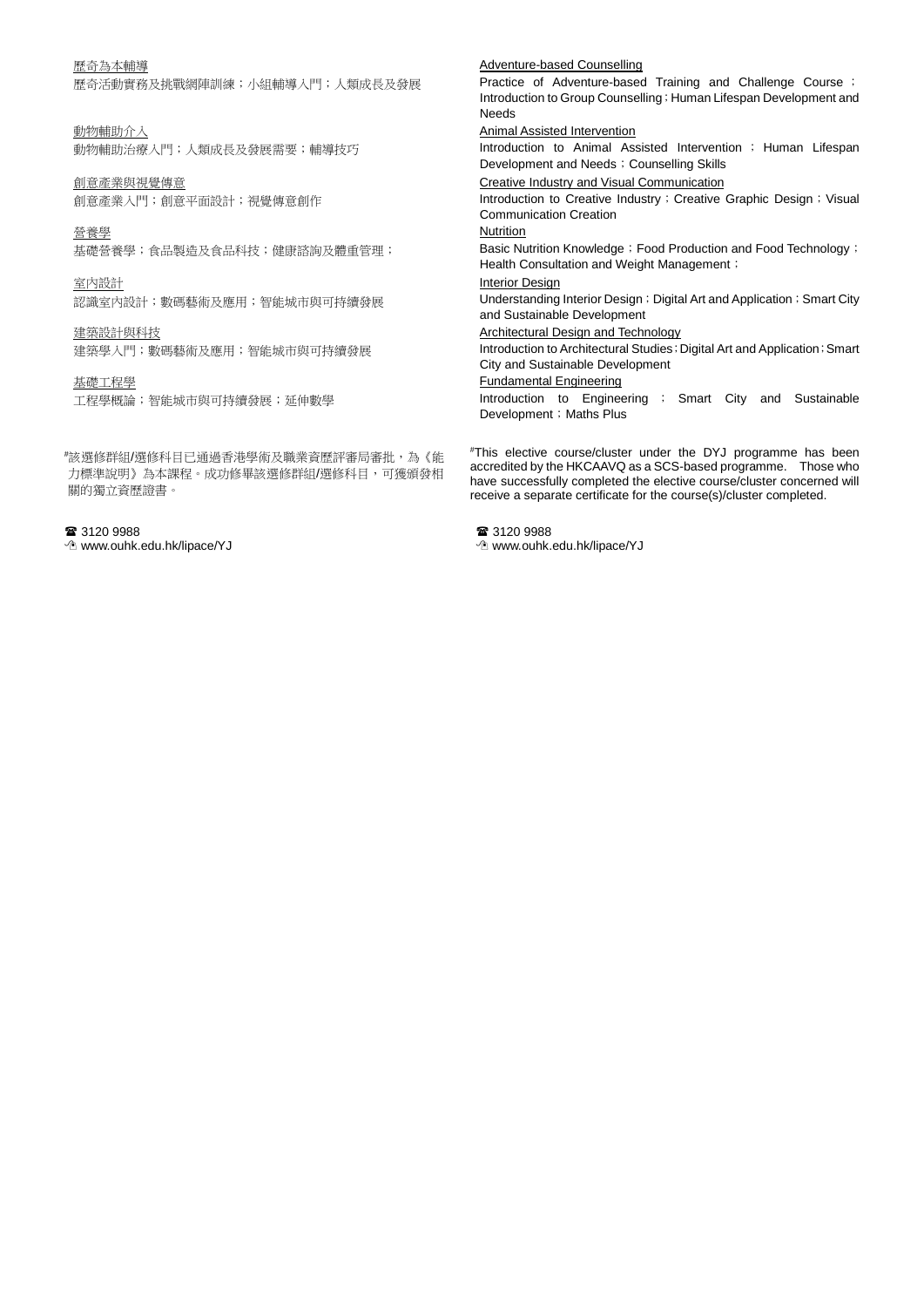### 歷奇為本輔導

歷奇活動實務及挑戰網陣訓練;小組輔導入門;人類成長及發展

動物輔助介入 動物輔助治療入門;人類成長及發展需要;輔導技巧

創意產業與視覺傳意 創意產業入門;創意平面設計;視覺傳意創作

營養學 基礎營養學;食品製造及食品科技;健康諮詢及體重管理;

室內設計 認識室內設計;數碼藝術及應用;智能城市與可持續發展

建築設計與科技 建築學入門;數碼藝術及應用;智能城市與可持續發展

基礎工程學

工程學概論;智能城市與可持續發展;延伸數學

# 該選修群組/選修科目已通過香港學術及職業資歷評審局審批,為《能 力標準說明》為本課程。成功修畢該選修群組/選修科目,可獲頒發相 關的獨立資歷證書。

■ 3120 9988 www.ouhk.edu.hk/lipace/YJ Adventure-based Counselling

Practice of Adventure-based Training and Challenge Course ; Introduction to Group Counselling; Human Lifespan Development and Needs

Animal Assisted Intervention

Introduction to Animal Assisted Intervention ; Human Lifespan Development and Needs; Counselling Skills

Creative Industry and Visual Communication

Introduction to Creative Industry; Creative Graphic Design; Visual Communication Creation

**Nutrition** 

Basic Nutrition Knowledge; Food Production and Food Technology; Health Consultation and Weight Management;

Interior Design

Understanding Interior Design; Digital Art and Application; Smart City and Sustainable Development

Architectural Design and Technology

Introduction to Architectural Studies ; Digital Art and Application ; Smart City and Sustainable Development

Fundamental Engineering

Introduction to Engineering ; Smart City and Sustainable Development; Maths Plus

# This elective course/cluster under the DYJ programme has been accredited by the HKCAAVQ as a SCS-based programme. Those who have successfully completed the elective course/cluster concerned will receive a separate certificate for the course(s)/cluster completed.

■ 3120 9988 www.ouhk.edu.hk/lipace/YJ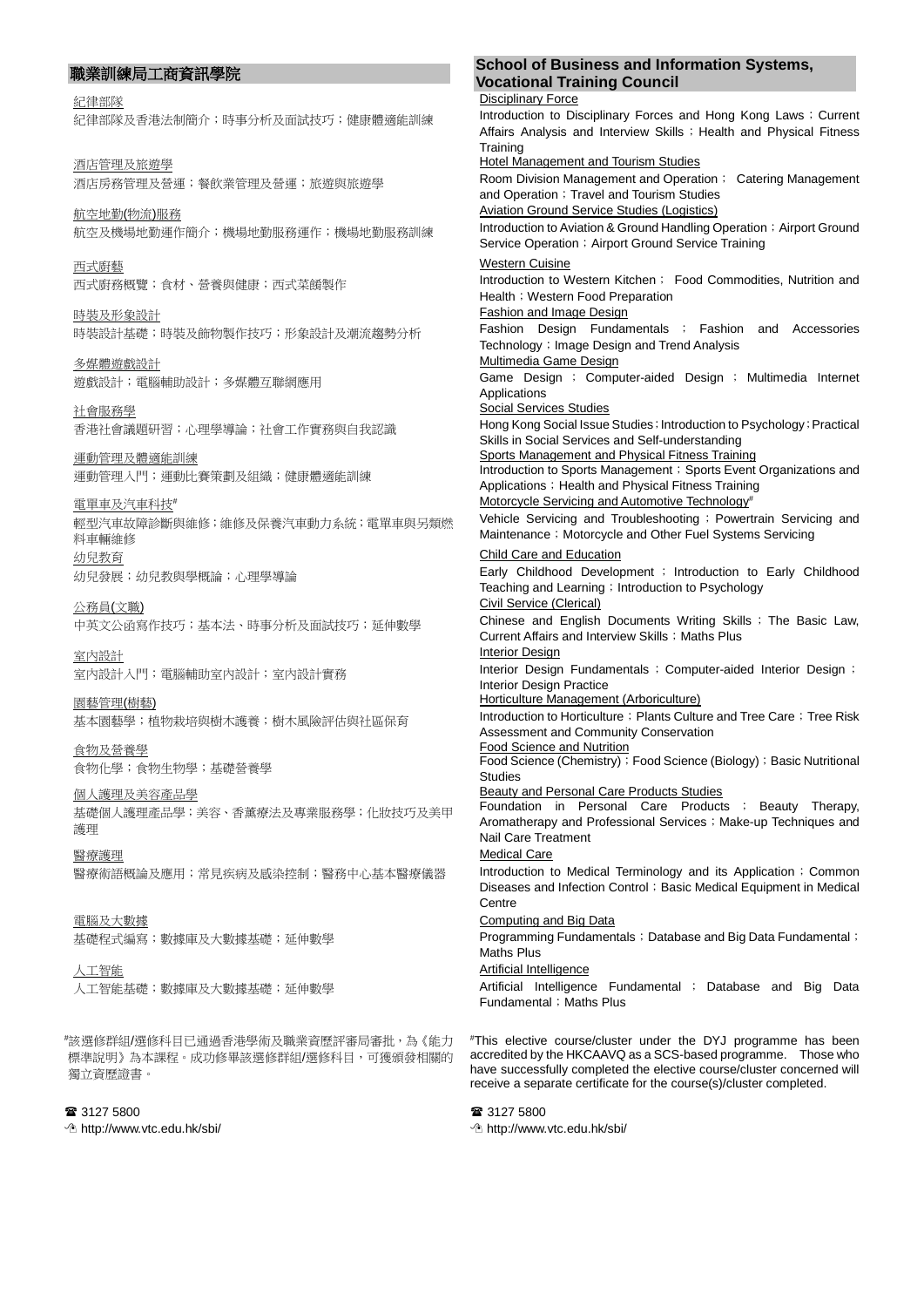紀律部隊 紀律部隊及香港法制簡介;時事分析及面試技巧;健康體適能訓練

酒店管理及旅遊學 酒店房務管理及營運;餐飲業管理及營運;旅遊與旅遊學

航空地勤(物流)服務 航空及機場地勤運作簡介;機場地勤服務運作;機場地勤服務訓練

西式廚藝 西式廚務概覽;食材、營養與健康;西式菜餚製作

時裝及形象設計 時裝設計基礎;時裝及飾物製作技巧;形象設計及潮流趨勢分析

多媒體遊戲設計 遊戲設計;電腦輔助設計;多媒體互聯網應用

社會服務學 香港社會議題研習;心理學導論;社會工作實務與自我認識

運動管理及體適能訓練 運動管理入門;運動比賽策劃及組織;健康體適能訓練

電單車及汽車科技# 輕型汽車故障診斷與維修;維修及保養汽車動力系統;電單車與另類燃 料車輛維修 幼兒教育 幼兒發展;幼兒教與學概論;心理學導論

公務員(文職) 中英文公函寫作技巧;基本法、時事分析及面試技巧;延伸數學

室內設計 室內設計入門;電腦輔助室內設計;室內設計實務

園藝管理(樹藝) 基本園藝學;植物栽培與樹木護養;樹木風險評估與社區保育

食物及營養學 食物化學;食物生物學;基礎營養學

個人護理及美容產品學 基礎個人護理產品學;美容、香薰療法及專業服務學;化妝技巧及美甲 護理

醫療護理 醫療術語概論及應用;常見疾病及感染控制;醫務中心基本醫療儀器

電腦及大數據 基礎程式編寫;數據庫及大數據基礎;延伸數學

人工智能 人工智能基礎;數據庫及大數據基礎;延伸數學

# 該選修群組/選修科目已通過香港學術及職業資歷評審局審批,為《能力 標準說明》為本課程。成功修畢該選修群組/選修科目,可獲頒發相關的 獨立資歷證書。

<sup>3</sup>3127 5800

http://www.vtc.edu.hk/sbi/

# 職業訓練局工商資訊學院 **School of Business and Information Systems,**

**Vocational Training Council Disciplinary Force** Introduction to Disciplinary Forces and Hong Kong Laws; Current Affairs Analysis and Interview Skills; Health and Physical Fitness **Training** Hotel Management and Tourism Studies Room Division Management and Operation; Catering Management and Operation; Travel and Tourism Studies Aviation Ground Service Studies (Logistics) Introduction to Aviation & Ground Handling Operation; Airport Ground Service Operation; Airport Ground Service Training Western Cuisine Introduction to Western Kitchen; Food Commodities, Nutrition and Health; Western Food Preparation Fashion and Image Design Fashion Design Fundamentals ; Fashion and Accessories Technology; Image Design and Trend Analysis Multimedia Game Design Game Design ; Computer-aided Design ; Multimedia Internet Applications Social Services Studies Hong Kong Social Issue Studies; Introduction to Psychology; Practical Skills in Social Services and Self-understanding Sports Management and Physical Fitness Training Introduction to Sports Management; Sports Event Organizations and Applications; Health and Physical Fitness Training Motorcycle Servicing and Automotive Technology<sup>#</sup> Vehicle Servicing and Troubleshooting; Powertrain Servicing and Maintenance ; Motorcycle and Other Fuel Systems Servicing Child Care and Education Early Childhood Development ; Introduction to Early Childhood Teaching and Learning; Introduction to Psychology Civil Service (Clerical) Chinese and English Documents Writing Skills ; The Basic Law, Current Affairs and Interview Skills ; Maths Plus Interior Design Interior Design Fundamentals ; Computer-aided Interior Design ; Interior Design Practice Horticulture Management (Arboriculture) Introduction to Horticulture; Plants Culture and Tree Care; Tree Risk Assessment and Community Conservation Food Science and Nutrition Food Science (Chemistry); Food Science (Biology); Basic Nutritional Studies Beauty and Personal Care Products Studies Foundation in Personal Care Products ; Beauty Therapy, Aromatherapy and Professional Services; Make-up Techniques and Nail Care Treatment Medical Care Introduction to Medical Terminology and its Application; Common Diseases and Infection Control; Basic Medical Equipment in Medical Centre Computing and Big Data Programming Fundamentals; Database and Big Data Fundamental; Maths Plus Artificial Intelligence Artificial Intelligence Fundamental ; Database and Big Data Fundamental: Maths Plus

# This elective course/cluster under the DYJ programme has been accredited by the HKCAAVQ as a SCS-based programme. Those who have successfully completed the elective course/cluster concerned will receive a separate certificate for the course(s)/cluster completed.

<sup>3</sup>3127 5800

http://www.vtc.edu.hk/sbi/